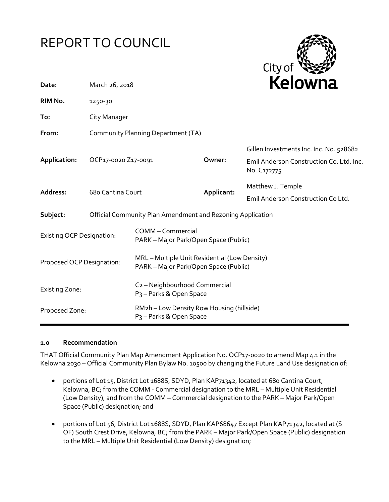# REPORT TO COUNCIL



| Date:                            | March 26, 2018                                             |                                                                                        |            | Kelowna                                                                                            |  |
|----------------------------------|------------------------------------------------------------|----------------------------------------------------------------------------------------|------------|----------------------------------------------------------------------------------------------------|--|
| RIM No.                          | 1250-30                                                    |                                                                                        |            |                                                                                                    |  |
| To:                              | City Manager                                               |                                                                                        |            |                                                                                                    |  |
| From:                            | Community Planning Department (TA)                         |                                                                                        |            |                                                                                                    |  |
| Application:                     | OCP17-0020 Z17-0091                                        |                                                                                        | Owner:     | Gillen Investments Inc. Inc. No. 528682<br>Emil Anderson Construction Co. Ltd. Inc.<br>No. C172775 |  |
| Address:                         | 68o Cantina Court                                          |                                                                                        | Applicant: | Matthew J. Temple<br>Emil Anderson Construction Co Ltd.                                            |  |
| Subject:                         | Official Community Plan Amendment and Rezoning Application |                                                                                        |            |                                                                                                    |  |
| <b>Existing OCP Designation:</b> |                                                            | COMM - Commercial<br>PARK - Major Park/Open Space (Public)                             |            |                                                                                                    |  |
| Proposed OCP Designation:        |                                                            | MRL - Multiple Unit Residential (Low Density)<br>PARK - Major Park/Open Space (Public) |            |                                                                                                    |  |
| <b>Existing Zone:</b>            |                                                            | C <sub>2</sub> - Neighbourhood Commercial<br>P <sub>3</sub> - Parks & Open Space       |            |                                                                                                    |  |
| Proposed Zone:                   |                                                            | RM2h - Low Density Row Housing (hillside)<br>P <sub>3</sub> - Parks & Open Space       |            |                                                                                                    |  |

#### **1.0 Recommendation**

THAT Official Community Plan Map Amendment Application No. OCP17-0020 to amend Map 4.1 in the Kelowna 2030 – Official Community Plan Bylaw No. 10500 by changing the Future Land Use designation of:

- portions of Lot 15, District Lot 1688S, SDYD, Plan KAP71342, located at 680 Cantina Court, Kelowna, BC; from the COMM - Commercial designation to the MRL – Multiple Unit Residential (Low Density), and from the COMM – Commercial designation to the PARK – Major Park/Open Space (Public) designation; and
- portions of Lot 56, District Lot 1688S, SDYD, Plan KAP68647 Except Plan KAP71342, located at (S OF) South Crest Drive, Kelowna, BC; from the PARK – Major Park/Open Space (Public) designation to the MRL – Multiple Unit Residential (Low Density) designation;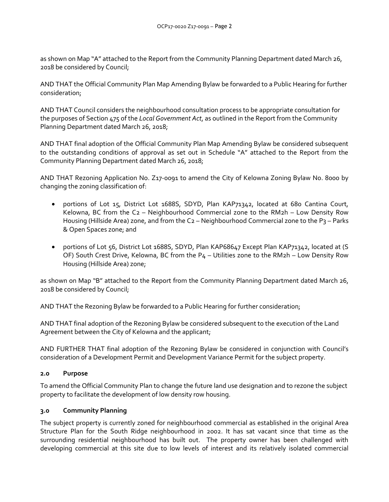as shown on Map "A" attached to the Report from the Community Planning Department dated March 26, 2018 be considered by Council;

AND THAT the Official Community Plan Map Amending Bylaw be forwarded to a Public Hearing for further consideration;

AND THAT Council considers the neighbourhood consultation process to be appropriate consultation for the purposes of Section 475 of the *Local Government Act*, as outlined in the Report from the Community Planning Department dated March 26, 2018;

AND THAT final adoption of the Official Community Plan Map Amending Bylaw be considered subsequent to the outstanding conditions of approval as set out in Schedule "A" attached to the Report from the Community Planning Department dated March 26, 2018;

AND THAT Rezoning Application No. Z17-0091 to amend the City of Kelowna Zoning Bylaw No. 8000 by changing the zoning classification of:

- portions of Lot 15, District Lot 1688S, SDYD, Plan KAP71342, located at 680 Cantina Court, Kelowna, BC from the C2 – Neighbourhood Commercial zone to the RM2h – Low Density Row Housing (Hillside Area) zone, and from the C<sub>2</sub> – Neighbourhood Commercial zone to the P<sub>3</sub> – Parks & Open Spaces zone; and
- portions of Lot 56, District Lot 1688S, SDYD, Plan KAP68647 Except Plan KAP71342, located at (S OF) South Crest Drive, Kelowna, BC from the  $P_4$  – Utilities zone to the RM2h – Low Density Row Housing (Hillside Area) zone;

as shown on Map "B" attached to the Report from the Community Planning Department dated March 26, 2018 be considered by Council;

AND THAT the Rezoning Bylaw be forwarded to a Public Hearing for further consideration;

AND THAT final adoption of the Rezoning Bylaw be considered subsequent to the execution of the Land Agreement between the City of Kelowna and the applicant;

AND FURTHER THAT final adoption of the Rezoning Bylaw be considered in conjunction with Council's consideration of a Development Permit and Development Variance Permit for the subject property.

## **2.0 Purpose**

To amend the Official Community Plan to change the future land use designation and to rezone the subject property to facilitate the development of low density row housing.

## **3.0 Community Planning**

The subject property is currently zoned for neighbourhood commercial as established in the original Area Structure Plan for the South Ridge neighbourhood in 2002. It has sat vacant since that time as the surrounding residential neighbourhood has built out. The property owner has been challenged with developing commercial at this site due to low levels of interest and its relatively isolated commercial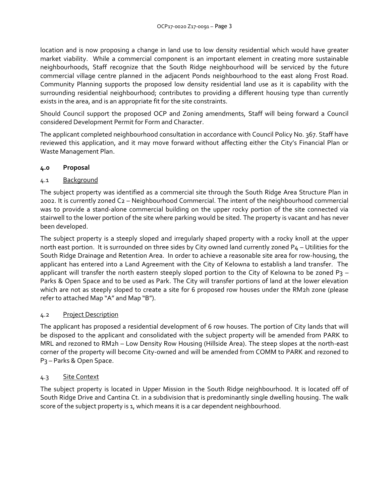location and is now proposing a change in land use to low density residential which would have greater market viability. While a commercial component is an important element in creating more sustainable neighbourhoods, Staff recognize that the South Ridge neighbourhood will be serviced by the future commercial village centre planned in the adjacent Ponds neighbourhood to the east along Frost Road. Community Planning supports the proposed low density residential land use as it is capability with the surrounding residential neighbourhood; contributes to providing a different housing type than currently exists in the area, and is an appropriate fit for the site constraints.

Should Council support the proposed OCP and Zoning amendments, Staff will being forward a Council considered Development Permit for Form and Character.

The applicant completed neighbourhood consultation in accordance with Council Policy No. 367. Staff have reviewed this application, and it may move forward without affecting either the City's Financial Plan or Waste Management Plan.

## **4.0 Proposal**

## 4.1 Background

The subject property was identified as a commercial site through the South Ridge Area Structure Plan in 2002. It is currently zoned C2 – Neighbourhood Commercial. The intent of the neighbourhood commercial was to provide a stand-alone commercial building on the upper rocky portion of the site connected via stairwell to the lower portion of the site where parking would be sited. The property is vacant and has never been developed.

The subject property is a steeply sloped and irregularly shaped property with a rocky knoll at the upper north east portion. It is surrounded on three sides by City owned land currently zoned P4 – Utilities for the South Ridge Drainage and Retention Area. In order to achieve a reasonable site area for row-housing, the applicant has entered into a Land Agreement with the City of Kelowna to establish a land transfer. The applicant will transfer the north eastern steeply sloped portion to the City of Kelowna to be zoned P3 – Parks & Open Space and to be used as Park. The City will transfer portions of land at the lower elevation which are not as steeply sloped to create a site for 6 proposed row houses under the RM2h zone (please refer to attached Map "A" and Map "B").

## 4.2 Project Description

The applicant has proposed a residential development of 6 row houses. The portion of City lands that will be disposed to the applicant and consolidated with the subject property will be amended from PARK to MRL and rezoned to RM2h – Low Density Row Housing (Hillside Area). The steep slopes at the north-east corner of the property will become City-owned and will be amended from COMM to PARK and rezoned to P3 – Parks & Open Space.

## 4.3 Site Context

The subject property is located in Upper Mission in the South Ridge neighbourhood. It is located off of South Ridge Drive and Cantina Ct. in a subdivision that is predominantly single dwelling housing. The walk score of the subject property is 1, which means it is a car dependent neighbourhood.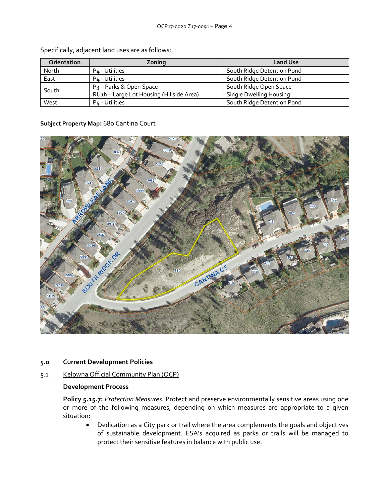| <b>Orientation</b> | Zonina                                   | <b>Land Use</b>            |
|--------------------|------------------------------------------|----------------------------|
| North              | P4 - Utilities                           | South Ridge Detention Pond |
| East               | P <sub>4</sub> - Utilities               | South Ridge Detention Pond |
| South              | P <sub>3</sub> - Parks & Open Space      | South Ridge Open Space     |
|                    | RU1h - Large Lot Housing (Hillside Area) | Single Dwelling Housing    |
| West               | P <sub>4</sub> - Utilities               | South Ridge Detention Pond |

Specifically, adjacent land uses are as follows:

#### **Subject Property Map:** 680 Cantina Court



#### **5.0 Current Development Policies**

#### 5.1 Kelowna Official Community Plan (OCP)

#### **Development Process**

**Policy 5.15.7:** *Protection Measures.* Protect and preserve environmentally sensitive areas using one or more of the following measures, depending on which measures are appropriate to a given situation:

 Dedication as a City park or trail where the area complements the goals and objectives of sustainable development. ESA's acquired as parks or trails will be managed to protect their sensitive features in balance with public use.